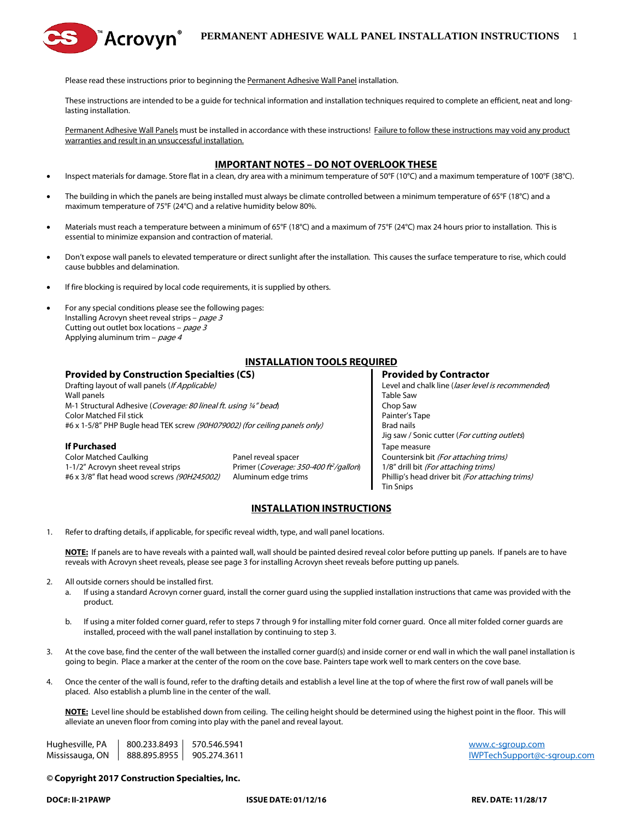

Please read these instructions prior to beginning the Permanent Adhesive Wall Panel installation.

These instructions are intended to be a guide for technical information and installation techniques required to complete an efficient, neat and longlasting installation.

Permanent Adhesive Wall Panels must be installed in accordance with these instructions! Failure to follow these instructions may void any product warranties and result in an unsuccessful installation.

## **IMPORTANT NOTES – DO NOT OVERLOOK THESE**

- Inspect materials for damage. Store flat in a clean, dry area with a minimum temperature of 50°F (10°C) and a maximum temperature of 100°F (38°C).
- The building in which the panels are being installed must always be climate controlled between a minimum temperature of 65°F (18°C) and a maximum temperature of 75°F (24°C) and a relative humidity below 80%.
- Materials must reach a temperature between a minimum of 65°F (18°C) and a maximum of 75°F (24°C) max 24 hours prior to installation. This is essential to minimize expansion and contraction of material.
- Don't expose wall panels to elevated temperature or direct sunlight after the installation. This causes the surface temperature to rise, which could cause bubbles and delamination.
- If fire blocking is required by local code requirements, it is supplied by others.
- For any special conditions please see the following pages: Installing Acrovyn sheet reveal strips - page 3 Cutting out outlet box locations –  $page 3$ Applying aluminum trim -  $page 4$

Drafting layout of wall panels (*If Applicable*) Level and chalk line (*laser level is recommended*) Wall panels **Table Saw** M-1 Structural Adhesive (Coverage: 80 lineal ft. using ¼" bead) Chop Saw **Color Matched Fil stick Painter's Tape Act of the Color Matched Fil stick Painter's Tape Painter's Tape Painter's Tape Painter's Tape Painter's Tape Painter's Tape Painter's Tape Painter's Tape Painter's Tape Painter's Ta** #6 x 1-5/8" PHP Bugle head TEK screw (90H079002) (for ceiling panels only) Brad nails

#### **If Purchased** Tape measure

1-1/2" Acrovyn sheet reveal strips **Primer** (Coverage: 350-400 ft<sup>2</sup>/gallon) 1/8" drill bit (For attaching trims)

# **INSTALLATION TOOLS REQUIRED**

## **Provided by Construction Specialties (CS) Provided by Contractor**

Jig saw / Sonic cutter (For cutting outlets) Color Matched Caulking **Panel reveal spacer** Panel reveal spacer **Countersink bit** (For attaching trims) #6 x 3/8" flat head wood screws (90H245002) Aluminum edge trims Phillip's head driver bit (For attaching trims) Tin Snips

## **INSTALLATION INSTRUCTIONS**

1. Refer to drafting details, if applicable, for specific reveal width, type, and wall panel locations.

**NOTE:** If panels are to have reveals with a painted wall, wall should be painted desired reveal color before putting up panels. If panels are to have reveals with Acrovyn sheet reveals, please see page 3 for installing Acrovyn sheet reveals before putting up panels.

- 2. All outside corners should be installed first.
	- a. If using a standard Acrovyn corner guard, install the corner guard using the supplied installation instructions that came was provided with the product.
	- b. If using a miter folded corner guard, refer to steps 7 through 9 for installing miter fold corner guard. Once all miter folded corner guards are installed, proceed with the wall panel installation by continuing to step 3.
- 3. At the cove base, find the center of the wall between the installed corner guard(s) and inside corner or end wall in which the wall panel installation is going to begin. Place a marker at the center of the room on the cove base. Painters tape work well to mark centers on the cove base.
- 4. Once the center of the wall is found, refer to the drafting details and establish a level line at the top of where the first row of wall panels will be placed. Also establish a plumb line in the center of the wall.

**NOTE:** Level line should be established down from ceiling. The ceiling height should be determined using the highest point in the floor. This will alleviate an uneven floor from coming into play with the panel and reveal layout.

Hughesville, PA  $\parallel$  800.233.8493  $\parallel$  570.546.5941 services and the services of the services of the services of the services of the services of the services of the services of the services of the services of the services Mississauga, ON  $\parallel$  888.895.8955  $\parallel$  905.274.3611 ISBN 905.274.3611 [IWPTechSupport@c-sgroup.com](mailto:IWPTechSupport@c-sgroup.com)

## *©* **Copyright 2017 Construction Specialties, Inc.**

**DOC#: II-21PAWP ISSUE DATE: 01/12/16 REV. DATE: 11/28/17**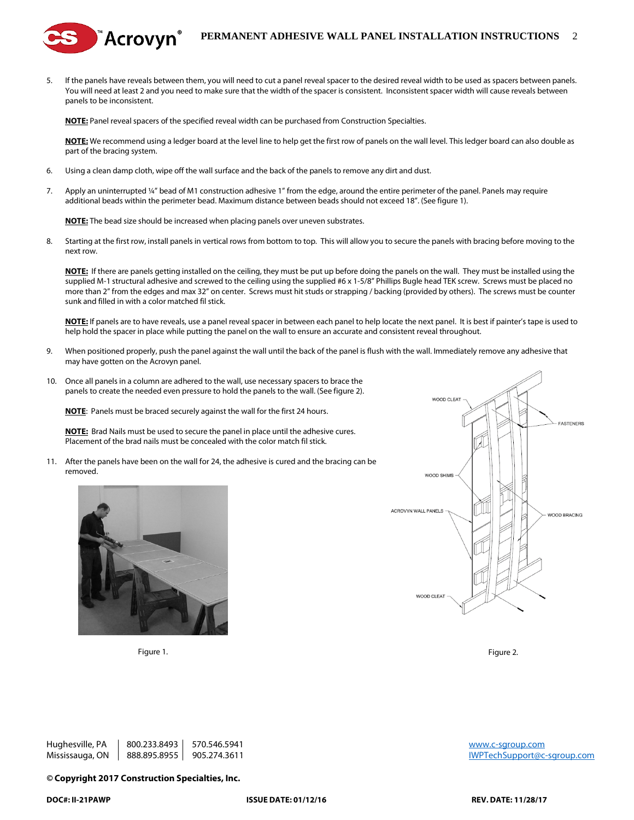## **PERMANENT ADHESIVE WALL PANEL INSTALLATION INSTRUCTIONS** 2

5. If the panels have reveals between them, you will need to cut a panel reveal spacer to the desired reveal width to be used as spacers between panels. You will need at least 2 and you need to make sure that the width of the spacer is consistent. Inconsistent spacer width will cause reveals between panels to be inconsistent.

**NOTE:** Panel reveal spacers of the specified reveal width can be purchased from Construction Specialties.

**NOTE:** We recommend using a ledger board at the level line to help get the first row of panels on the wall level. This ledger board can also double as part of the bracing system.

- 6. Using a clean damp cloth, wipe off the wall surface and the back of the panels to remove any dirt and dust.
- 7. Apply an uninterrupted ¼" bead of M1 construction adhesive 1" from the edge, around the entire perimeter of the panel. Panels may require additional beads within the perimeter bead. Maximum distance between beads should not exceed 18". (See figure 1).

**NOTE:** The bead size should be increased when placing panels over uneven substrates.

้Acrovyn®

8. Starting at the first row, install panels in vertical rows from bottom to top. This will allow you to secure the panels with bracing before moving to the next row.

**NOTE:** If there are panels getting installed on the ceiling, they must be put up before doing the panels on the wall. They must be installed using the supplied M-1 structural adhesive and screwed to the ceiling using the supplied #6 x 1-5/8" Phillips Bugle head TEK screw. Screws must be placed no more than 2" from the edges and max 32" on center. Screws must hit studs or strapping / backing (provided by others). The screws must be counter sunk and filled in with a color matched fil stick.

**NOTE:** If panels are to have reveals, use a panel reveal spacer in between each panel to help locate the next panel. It is best if painter's tape is used to help hold the spacer in place while putting the panel on the wall to ensure an accurate and consistent reveal throughout.

- 9. When positioned properly, push the panel against the wall until the back of the panel is flush with the wall. Immediately remove any adhesive that may have gotten on the Acrovyn panel.
- 10. Once all panels in a column are adhered to the wall, use necessary spacers to brace the panels to create the needed even pressure to hold the panels to the wall. (See figure 2).

**NOTE**: Panels must be braced securely against the wall for the first 24 hours.

**NOTE:** Brad Nails must be used to secure the panel in place until the adhesive cures. Placement of the brad nails must be concealed with the color match fil stick.

11. After the panels have been on the wall for 24, the adhesive is cured and the bracing can be removed.



Figure 1. Figure 2.



Hughesville, PA  $\parallel$  800.233.8493  $\parallel$  570.546.5941 services and the state of the state of the state of the state of the state of the state of the state of the state of the state of the state of the state of the state of t Mississauga, ON  $|$  888.895.8955 905.274.3611 300 and the state of the state of the MVPTechSupport@c-sgroup.com

#### *©* **Copyright 2017 Construction Specialties, Inc.**

**DOC#: II-21PAWP ISSUE DATE: 01/12/16 REV. DATE: 11/28/17**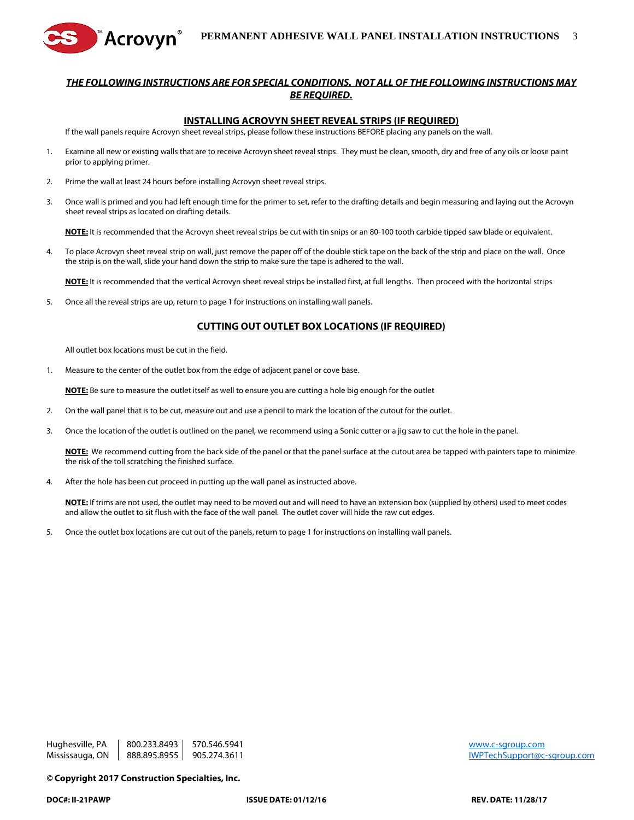



#### **INSTALLING ACROVYN SHEET REVEAL STRIPS (IF REQUIRED)**

If the wall panels require Acrovyn sheet reveal strips, please follow these instructions BEFORE placing any panels on the wall.

- 1. Examine all new or existing walls that are to receive Acrovyn sheet reveal strips. They must be clean, smooth, dry and free of any oils or loose paint prior to applying primer.
- 2. Prime the wall at least 24 hours before installing Acrovyn sheet reveal strips.
- 3. Once wall is primed and you had left enough time for the primer to set, refer to the drafting details and begin measuring and laying out the Acrovyn sheet reveal strips as located on drafting details.

**NOTE:** It is recommended that the Acrovyn sheet reveal strips be cut with tin snips or an 80-100 tooth carbide tipped saw blade or equivalent.

4. To place Acrovyn sheet reveal strip on wall, just remove the paper off of the double stick tape on the back of the strip and place on the wall. Once the strip is on the wall, slide your hand down the strip to make sure the tape is adhered to the wall.

**NOTE:** It is recommended that the vertical Acrovyn sheet reveal strips be installed first, at full lengths. Then proceed with the horizontal strips

5. Once all the reveal strips are up, return to page 1 for instructions on installing wall panels.

#### **CUTTING OUT OUTLET BOX LOCATIONS (IF REQUIRED)**

All outlet box locations must be cut in the field.

1. Measure to the center of the outlet box from the edge of adjacent panel or cove base.

**NOTE:** Be sure to measure the outlet itself as well to ensure you are cutting a hole big enough for the outlet

- 2. On the wall panel that is to be cut, measure out and use a pencil to mark the location of the cutout for the outlet.
- 3. Once the location of the outlet is outlined on the panel, we recommend using a Sonic cutter or a jig saw to cut the hole in the panel.

**NOTE:** We recommend cutting from the back side of the panel or that the panel surface at the cutout area be tapped with painters tape to minimize the risk of the toll scratching the finished surface.

4. After the hole has been cut proceed in putting up the wall panel as instructed above.

**NOTE:** If trims are not used, the outlet may need to be moved out and will need to have an extension box (supplied by others) used to meet codes and allow the outlet to sit flush with the face of the wall panel. The outlet cover will hide the raw cut edges.

5. Once the outlet box locations are cut out of the panels, return to page 1 for instructions on installing wall panels.

Hughesville, PA  $\parallel$  800.233.8493  $\parallel$  570.546.5941 services and the services of the services of the services of the services of the services of the services of the services of the services of the services of the services Mississauga, ON  $|$  888.895.8955 905.274.3611 300 and the state of the state of the MVPTechSupport@c-sgroup.com

*©* **Copyright 2017 Construction Specialties, Inc.**

**DOC#: II-21PAWP ISSUE DATE: 01/12/16 REV. DATE: 11/28/17**